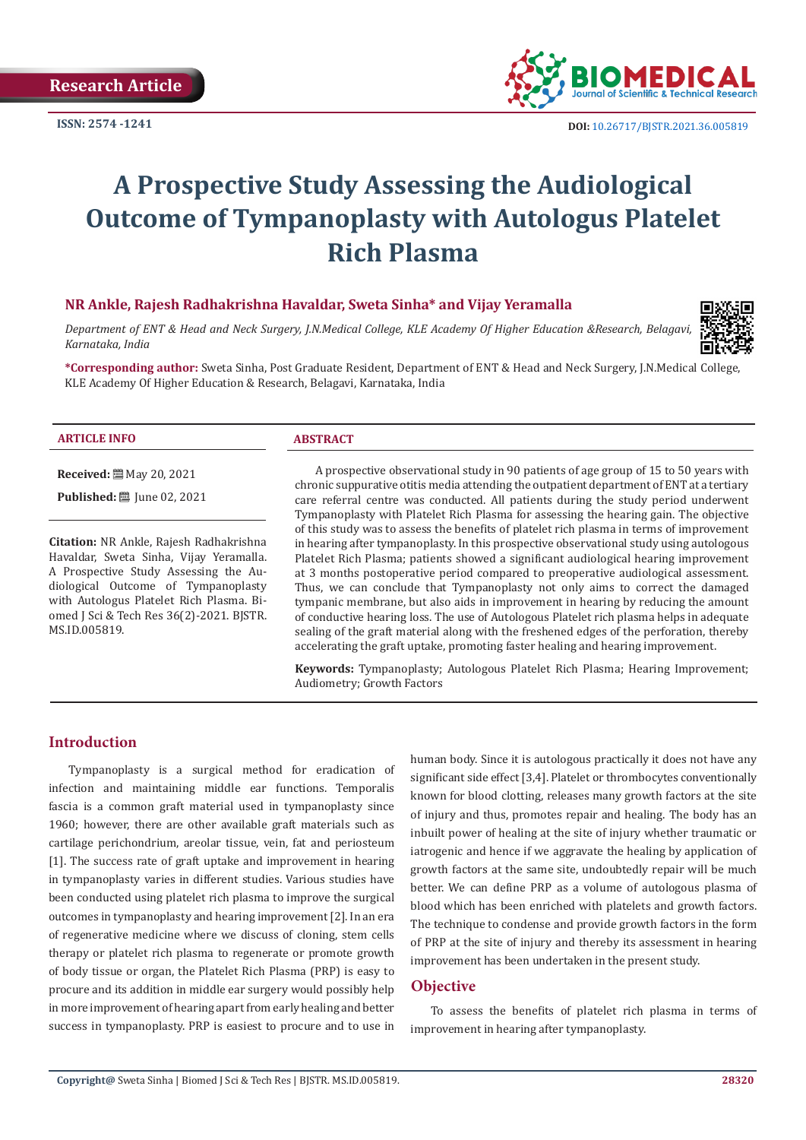

# **A Prospective Study Assessing the Audiological Outcome of Tympanoplasty with Autologus Platelet Rich Plasma**

# **NR Ankle, Rajesh Radhakrishna Havaldar, Sweta Sinha\* and Vijay Yeramalla**

*Department of ENT & Head and Neck Surgery, J.N.Medical College, KLE Academy Of Higher Education &Research, Belagavi, Karnataka, India*



#### **ARTICLE INFO ABSTRACT**

**Received:** 圖 May 20, 2021

**Published:** ■ June 02, 2021

**Citation:** NR Ankle, Rajesh Radhakrishna Havaldar, Sweta Sinha, Vijay Yeramalla. A Prospective Study Assessing the Audiological Outcome of Tympanoplasty with Autologus Platelet Rich Plasma. Biomed J Sci & Tech Res 36(2)-2021. BJSTR. MS.ID.005819.

A prospective observational study in 90 patients of age group of 15 to 50 years with chronic suppurative otitis media attending the outpatient department of ENT at a tertiary care referral centre was conducted. All patients during the study period underwent Tympanoplasty with Platelet Rich Plasma for assessing the hearing gain. The objective of this study was to assess the benefits of platelet rich plasma in terms of improvement in hearing after tympanoplasty. In this prospective observational study using autologous Platelet Rich Plasma; patients showed a significant audiological hearing improvement at 3 months postoperative period compared to preoperative audiological assessment. Thus, we can conclude that Tympanoplasty not only aims to correct the damaged tympanic membrane, but also aids in improvement in hearing by reducing the amount of conductive hearing loss. The use of Autologous Platelet rich plasma helps in adequate sealing of the graft material along with the freshened edges of the perforation, thereby accelerating the graft uptake, promoting faster healing and hearing improvement.

**Keywords:** Tympanoplasty; Autologous Platelet Rich Plasma; Hearing Improvement; Audiometry; Growth Factors

# **Introduction**

Tympanoplasty is a surgical method for eradication of infection and maintaining middle ear functions. Temporalis fascia is a common graft material used in tympanoplasty since 1960; however, there are other available graft materials such as cartilage perichondrium, areolar tissue, vein, fat and periosteum [1]. The success rate of graft uptake and improvement in hearing in tympanoplasty varies in different studies. Various studies have been conducted using platelet rich plasma to improve the surgical outcomes in tympanoplasty and hearing improvement [2]. In an era of regenerative medicine where we discuss of cloning, stem cells therapy or platelet rich plasma to regenerate or promote growth of body tissue or organ, the Platelet Rich Plasma (PRP) is easy to procure and its addition in middle ear surgery would possibly help in more improvement of hearing apart from early healing and better success in tympanoplasty. PRP is easiest to procure and to use in

human body. Since it is autologous practically it does not have any significant side effect [3,4]. Platelet or thrombocytes conventionally known for blood clotting, releases many growth factors at the site of injury and thus, promotes repair and healing. The body has an inbuilt power of healing at the site of injury whether traumatic or iatrogenic and hence if we aggravate the healing by application of growth factors at the same site, undoubtedly repair will be much better. We can define PRP as a volume of autologous plasma of blood which has been enriched with platelets and growth factors. The technique to condense and provide growth factors in the form of PRP at the site of injury and thereby its assessment in hearing improvement has been undertaken in the present study.

# **Objective**

To assess the benefits of platelet rich plasma in terms of improvement in hearing after tympanoplasty.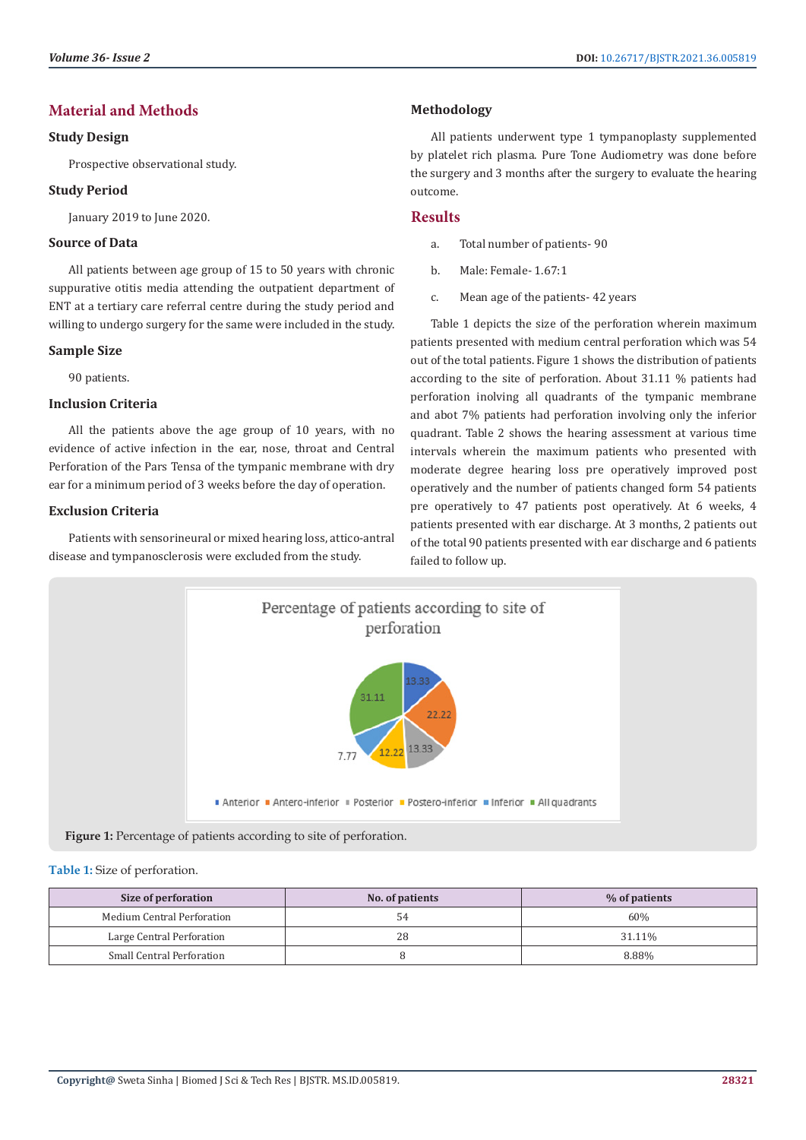# **Material and Methods**

# **Study Design**

Prospective observational study.

# **Study Period**

January 2019 to June 2020.

# **Source of Data**

All patients between age group of 15 to 50 years with chronic suppurative otitis media attending the outpatient department of ENT at a tertiary care referral centre during the study period and willing to undergo surgery for the same were included in the study.

### **Sample Size**

90 patients.

# **Inclusion Criteria**

All the patients above the age group of 10 years, with no evidence of active infection in the ear, nose, throat and Central Perforation of the Pars Tensa of the tympanic membrane with dry ear for a minimum period of 3 weeks before the day of operation.

# **Exclusion Criteria**

Patients with sensorineural or mixed hearing loss, attico-antral disease and tympanosclerosis were excluded from the study.

# **Methodology**

All patients underwent type 1 tympanoplasty supplemented by platelet rich plasma. Pure Tone Audiometry was done before the surgery and 3 months after the surgery to evaluate the hearing outcome.

# **Results**

- a. Total number of patients- 90
- b. Male: Female- 1.67:1
- c. Mean age of the patients- 42 years

Table 1 depicts the size of the perforation wherein maximum patients presented with medium central perforation which was 54 out of the total patients. Figure 1 shows the distribution of patients according to the site of perforation. About 31.11 % patients had perforation inolving all quadrants of the tympanic membrane and abot 7% patients had perforation involving only the inferior quadrant. Table 2 shows the hearing assessment at various time intervals wherein the maximum patients who presented with moderate degree hearing loss pre operatively improved post operatively and the number of patients changed form 54 patients pre operatively to 47 patients post operatively. At 6 weeks, 4 patients presented with ear discharge. At 3 months, 2 patients out of the total 90 patients presented with ear discharge and 6 patients failed to follow up.



**Figure 1:** Percentage of patients according to site of perforation.

#### **Table 1:** Size of perforation.

| Size of perforation        | No. of patients | % of patients |
|----------------------------|-----------------|---------------|
| Medium Central Perforation | 54              | 60%           |
| Large Central Perforation  | 28              | 31.11%        |
| Small Central Perforation  |                 | 8.88%         |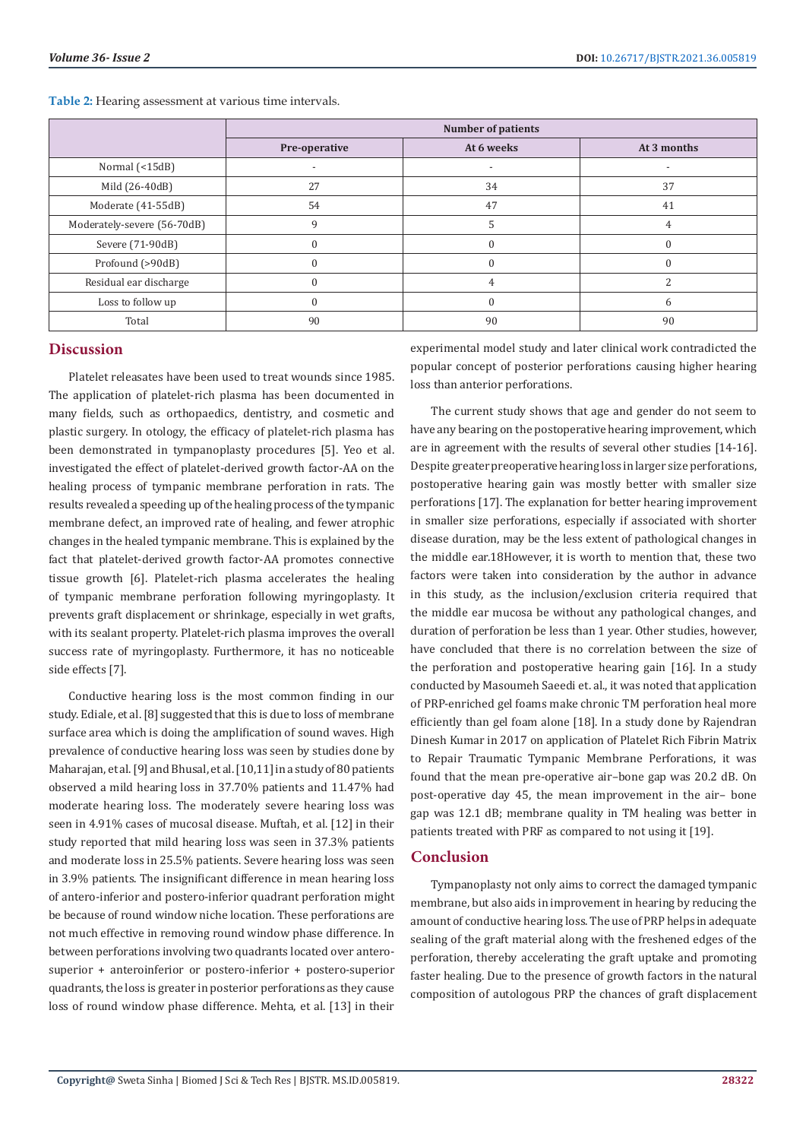|                             | <b>Number of patients</b> |                          |                          |
|-----------------------------|---------------------------|--------------------------|--------------------------|
|                             | Pre-operative             | At 6 weeks               | At 3 months              |
| Normal (<15dB)              |                           | $\overline{\phantom{a}}$ | $\overline{\phantom{a}}$ |
| Mild (26-40dB)              | 27                        | 34                       | 37                       |
| Moderate (41-55dB)          | 54                        | 47                       | 41                       |
| Moderately-severe (56-70dB) | 9                         |                          |                          |
| Severe (71-90dB)            |                           |                          |                          |
| Profound (>90dB)            |                           |                          |                          |
| Residual ear discharge      |                           | 4                        |                          |
| Loss to follow up           |                           |                          | h                        |
| Total                       | 90                        | 90                       | 90                       |

**Table 2:** Hearing assessment at various time intervals.

# **Discussion**

Platelet releasates have been used to treat wounds since 1985. The application of platelet-rich plasma has been documented in many fields, such as orthopaedics, dentistry, and cosmetic and plastic surgery. In otology, the efficacy of platelet-rich plasma has been demonstrated in tympanoplasty procedures [5]. Yeo et al. investigated the effect of platelet-derived growth factor-AA on the healing process of tympanic membrane perforation in rats. The results revealed a speeding up of the healing process of the tympanic membrane defect, an improved rate of healing, and fewer atrophic changes in the healed tympanic membrane. This is explained by the fact that platelet-derived growth factor-AA promotes connective tissue growth [6]. Platelet-rich plasma accelerates the healing of tympanic membrane perforation following myringoplasty. It prevents graft displacement or shrinkage, especially in wet grafts, with its sealant property. Platelet-rich plasma improves the overall success rate of myringoplasty. Furthermore, it has no noticeable side effects [7].

Conductive hearing loss is the most common finding in our study. Ediale, et al. [8] suggested that this is due to loss of membrane surface area which is doing the amplification of sound waves. High prevalence of conductive hearing loss was seen by studies done by Maharajan, et al. [9] and Bhusal, et al. [10,11] in a study of 80 patients observed a mild hearing loss in 37.70% patients and 11.47% had moderate hearing loss. The moderately severe hearing loss was seen in 4.91% cases of mucosal disease. Muftah, et al. [12] in their study reported that mild hearing loss was seen in 37.3% patients and moderate loss in 25.5% patients. Severe hearing loss was seen in 3.9% patients. The insignificant difference in mean hearing loss of antero-inferior and postero-inferior quadrant perforation might be because of round window niche location. These perforations are not much effective in removing round window phase difference. In between perforations involving two quadrants located over anterosuperior + anteroinferior or postero-inferior + postero-superior quadrants, the loss is greater in posterior perforations as they cause loss of round window phase difference. Mehta, et al. [13] in their

experimental model study and later clinical work contradicted the popular concept of posterior perforations causing higher hearing loss than anterior perforations.

The current study shows that age and gender do not seem to have any bearing on the postoperative hearing improvement, which are in agreement with the results of several other studies [14-16]. Despite greater preoperative hearing loss in larger size perforations, postoperative hearing gain was mostly better with smaller size perforations [17]. The explanation for better hearing improvement in smaller size perforations, especially if associated with shorter disease duration, may be the less extent of pathological changes in the middle ear.18However, it is worth to mention that, these two factors were taken into consideration by the author in advance in this study, as the inclusion/exclusion criteria required that the middle ear mucosa be without any pathological changes, and duration of perforation be less than 1 year. Other studies, however, have concluded that there is no correlation between the size of the perforation and postoperative hearing gain [16]. In a study conducted by Masoumeh Saeedi et. al., it was noted that application of PRP-enriched gel foams make chronic TM perforation heal more efficiently than gel foam alone [18]. In a study done by Rajendran Dinesh Kumar in 2017 on application of Platelet Rich Fibrin Matrix to Repair Traumatic Tympanic Membrane Perforations, it was found that the mean pre-operative air–bone gap was 20.2 dB. On post-operative day 45, the mean improvement in the air– bone gap was 12.1 dB; membrane quality in TM healing was better in patients treated with PRF as compared to not using it [19].

# **Conclusion**

Tympanoplasty not only aims to correct the damaged tympanic membrane, but also aids in improvement in hearing by reducing the amount of conductive hearing loss. The use of PRP helps in adequate sealing of the graft material along with the freshened edges of the perforation, thereby accelerating the graft uptake and promoting faster healing. Due to the presence of growth factors in the natural composition of autologous PRP the chances of graft displacement